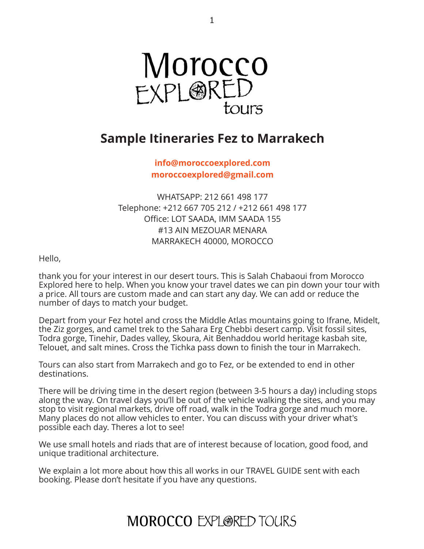

## **Sample Itineraries Fez to Marrakech**

**[info@moroccoexplored.com](mailto:info@moroccoexplored.com) [moroccoexplored@gmail.com](mailto:moroccoexplored@gmail.com)**

WHATSAPP: 212 661 498 177 Telephone: +212 667 705 212 / +212 661 498 177 Office: LOT SAADA, IMM SAADA 155 #13 AIN MEZOUAR MENARA MARRAKECH 40000, MOROCCO

Hello,

thank you for your interest in our desert tours. This is Salah Chabaoui from Morocco Explored here to help. When you know your travel dates we can pin down your tour with a price. All tours are custom made and can start any day. We can add or reduce the number of days to match your budget.

Depart from your Fez hotel and cross the Middle Atlas mountains going to Ifrane, Midelt, the Ziz gorges, and camel trek to the Sahara Erg Chebbi desert camp. Visit fossil sites, Todra gorge, Tinehir, Dades valley, Skoura, Ait Benhaddou world heritage kasbah site, Telouet, and salt mines. Cross the Tichka pass down to finish the tour in Marrakech.

Tours can also start from Marrakech and go to Fez, or be extended to end in other destinations.

There will be driving time in the desert region (between 3-5 hours a day) including stops along the way. On travel days you'll be out of the vehicle walking the sites, and you may stop to visit regional markets, drive off road, walk in the Todra gorge and much more. Many places do not allow vehicles to enter. You can discuss with your driver what's possible each day. Theres a lot to see!

We use small hotels and riads that are of interest because of location, good food, and unique traditional architecture.

We explain a lot more about how this all works in our TRAVEL GUIDE sent with each booking. Please don't hesitate if you have any questions.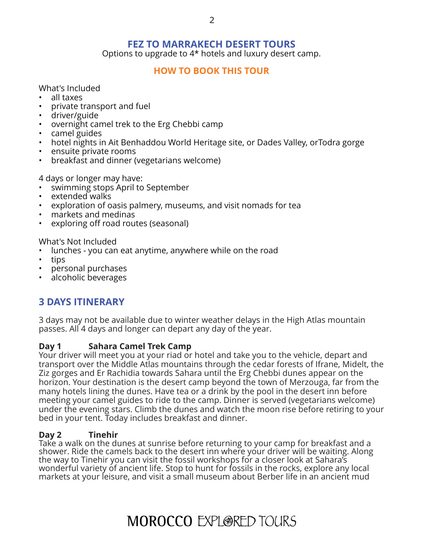## **FEZ TO MARRAKECH DESERT TOURS**

Options to upgrade to 4\* hotels and luxury desert camp.

### **[HOW TO BOOK THIS TOUR](http://www.moroccoexploredtours.com/book-online/)**

What's Included

- all taxes
- private transport and fuel
- driver/guide
- overnight camel trek to the Erg Chebbi camp
- camel guides
- hotel nights in Ait Benhaddou World Heritage site, or Dades Valley, orTodra gorge
- ensuite private rooms
- breakfast and dinner (vegetarians welcome)

4 days or longer may have:

- swimming stops April to September
- extended walks
- exploration of oasis palmery, museums, and visit nomads for tea
- markets and medinas
- exploring off road routes (seasonal)

What's Not Included

- lunches you can eat anytime, anywhere while on the road
- tips
- personal purchases
- alcoholic beverages

## **3 DAYS ITINERARY**

3 days may not be available due to winter weather delays in the High Atlas mountain passes. All 4 days and longer can depart any day of the year.

### **Day 1 Sahara Camel Trek Camp**

Your driver will meet you at your riad or hotel and take you to the vehicle, depart and transport over the Middle Atlas mountains through the cedar forests of Ifrane, Midelt, the Ziz gorges and Er Rachidia towards Sahara until the Erg Chebbi dunes appear on the horizon. Your destination is the desert camp beyond the town of Merzouga, far from the many hotels lining the dunes. Have tea or a drink by the pool in the desert inn before meeting your camel guides to ride to the camp. Dinner is served (vegetarians welcome) under the evening stars. Climb the dunes and watch the moon rise before retiring to your bed in your tent. Today includes breakfast and dinner.

### **Day 2 Tinehir**

Take a walk on the dunes at sunrise before returning to your camp for breakfast and a shower. Ride the camels back to the desert inn where your driver will be waiting. Along the way to Tinehir you can visit the fossil workshops for a closer look at Sahara's wonderful variety of ancient life. Stop to hunt for fossils in the rocks, explore any local markets at your leisure, and visit a small museum about Berber life in an ancient mud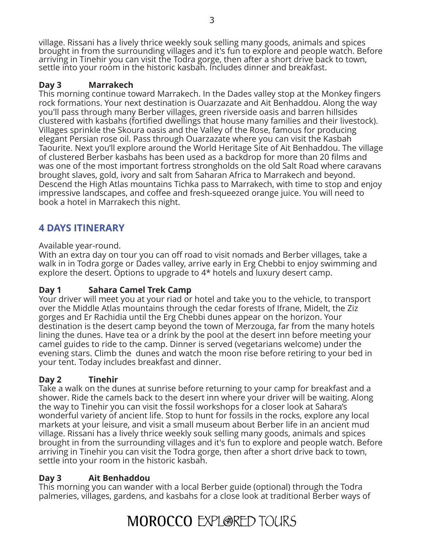village. Rissani has a lively thrice weekly souk selling many goods, animals and spices brought in from the surrounding villages and it's fun to explore and people watch. Before arriving in Tinehir you can visit the Todra gorge, then after a short drive back to town, settle into your room in the historic kasbah. Includes dinner and breakfast.

## **Day 3 Marrakech**

This morning continue toward Marrakech. In the Dades valley stop at the Monkey fingers rock formations. Your next destination is Ouarzazate and Ait Benhaddou. Along the way you'll pass through many Berber villages, green riverside oasis and barren hillsides clustered with kasbahs (fortified dwellings that house many families and their livestock). Villages sprinkle the Skoura oasis and the Valley of the Rose, famous for producing elegant Persian rose oil. Pass through Ouarzazate where you can visit the Kasbah Taourite. Next you'll explore around the World Heritage Site of Ait Benhaddou. The village of clustered Berber kasbahs has been used as a backdrop for more than 20 films and was one of the most important fortress strongholds on the old Salt Road where caravans brought slaves, gold, ivory and salt from Saharan Africa to Marrakech and beyond. Descend the High Atlas mountains Tichka pass to Marrakech, with time to stop and enjoy impressive landscapes, and coffee and fresh-squeezed orange juice. You will need to book a hotel in Marrakech this night.

## **4 DAYS ITINERARY**

### Available year-round.

With an extra day on tour you can off road to visit nomads and Berber villages, take a walk in in Todra gorge or Dades valley, arrive early in Erg Chebbi to enjoy swimming and explore the desert. Options to upgrade to 4\* hotels and luxury desert camp.

## **Day 1 Sahara Camel Trek Camp**

Your driver will meet you at your riad or hotel and take you to the vehicle, to transport over the Middle Atlas mountains through the cedar forests of Ifrane, Midelt, the Ziz gorges and Er Rachidia until the Erg Chebbi dunes appear on the horizon. Your destination is the desert camp beyond the town of Merzouga, far from the many hotels lining the dunes. Have tea or a drink by the pool at the desert inn before meeting your camel guides to ride to the camp. Dinner is served (vegetarians welcome) under the evening stars. Climb the dunes and watch the moon rise before retiring to your bed in your tent. Today includes breakfast and dinner.

## **Day 2 Tinehir**

Take a walk on the dunes at sunrise before returning to your camp for breakfast and a shower. Ride the camels back to the desert inn where your driver will be waiting. Along the way to Tinehir you can visit the fossil workshops for a closer look at Sahara's wonderful variety of ancient life. Stop to hunt for fossils in the rocks, explore any local markets at your leisure, and visit a small museum about Berber life in an ancient mud village. Rissani has a lively thrice weekly souk selling many goods, animals and spices brought in from the surrounding villages and it's fun to explore and people watch. Before arriving in Tinehir you can visit the Todra gorge, then after a short drive back to town, settle into your room in the historic kasbah.

## **Day 3 Ait Benhaddou**

This morning you can wander with a local Berber guide (optional) through the Todra palmeries, villages, gardens, and kasbahs for a close look at traditional Berber ways of